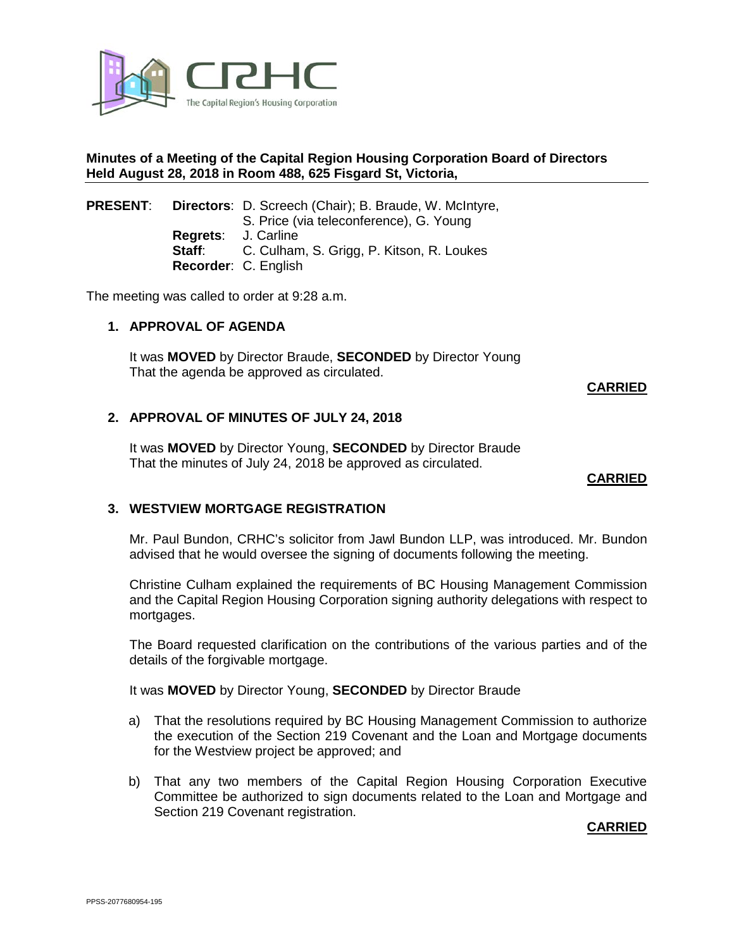

## **Minutes of a Meeting of the Capital Region Housing Corporation Board of Directors Held August 28, 2018 in Room 488, 625 Fisgard St, Victoria,**

### **PRESENT**: **Directors**: D. Screech (Chair); B. Braude, W. McIntyre, S. Price (via teleconference), G. Young **Regrets**: J. Carline **Staff**: C. Culham, S. Grigg, P. Kitson, R. Loukes **Recorder**: C. English

The meeting was called to order at 9:28 a.m.

#### **1. APPROVAL OF AGENDA**

It was **MOVED** by Director Braude, **SECONDED** by Director Young That the agenda be approved as circulated.

**CARRIED**

### **2. APPROVAL OF MINUTES OF JULY 24, 2018**

It was **MOVED** by Director Young, **SECONDED** by Director Braude That the minutes of July 24, 2018 be approved as circulated.

#### **CARRIED**

# **3. WESTVIEW MORTGAGE REGISTRATION**

Mr. Paul Bundon, CRHC's solicitor from Jawl Bundon LLP, was introduced. Mr. Bundon advised that he would oversee the signing of documents following the meeting.

Christine Culham explained the requirements of BC Housing Management Commission and the Capital Region Housing Corporation signing authority delegations with respect to mortgages.

The Board requested clarification on the contributions of the various parties and of the details of the forgivable mortgage.

It was **MOVED** by Director Young, **SECONDED** by Director Braude

- a) That the resolutions required by BC Housing Management Commission to authorize the execution of the Section 219 Covenant and the Loan and Mortgage documents for the Westview project be approved; and
- b) That any two members of the Capital Region Housing Corporation Executive Committee be authorized to sign documents related to the Loan and Mortgage and Section 219 Covenant registration.

**CARRIED**